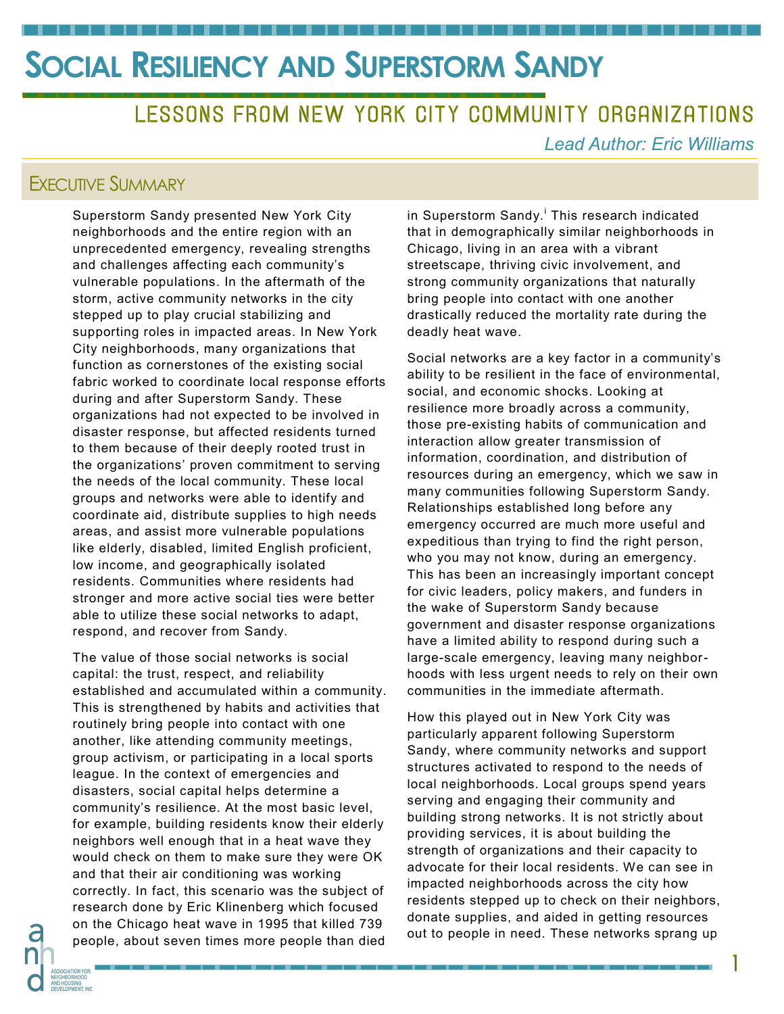LESSONS FROM NEW YORK CITY COMMUNITY ORGANIZATIONS

*Lead Author: Eric Williams*

#### EXECUTIVE SUMMARY

Superstorm Sandy presented New York City neighborhoods and the entire region with an unprecedented emergency, revealing strengths and challenges affecting each community's vulnerable populations. In the aftermath of the storm, active community networks in the city stepped up to play crucial stabilizing and supporting roles in impacted areas. In New York City neighborhoods, many organizations that function as cornerstones of the existing social fabric worked to coordinate local response efforts during and after Superstorm Sandy. These organizations had not expected to be involved in disaster response, but affected residents turned to them because of their deeply rooted trust in the organizations' proven commitment to serving the needs of the local community. These local groups and networks were able to identify and coordinate aid, distribute supplies to high needs areas, and assist more vulnerable populations like elderly, disabled, limited English proficient, low income, and geographically isolated residents. Communities where residents had stronger and more active social ties were better able to utilize these social networks to adapt, respond, and recover from Sandy.

The value of those social networks is social capital: the trust, respect, and reliability established and accumulated within a community. This is strengthened by habits and activities that routinely bring people into contact with one another, like attending community meetings, group activism, or participating in a local sports league. In the context of emergencies and disasters, social capital helps determine a community's resilience. At the most basic level, for example, building residents know their elderly neighbors well enough that in a heat wave they would check on them to make sure they were OK and that their air conditioning was working correctly. In fact, this scenario was the subject of research done by Eric Klinenberg which focused on the Chicago heat wave in 1995 that killed 739 people, about seven times more people than died

in Superstorm Sandy.<sup>i</sup> This research indicated that in demographically similar neighborhoods in Chicago, living in an area with a vibrant streetscape, thriving civic involvement, and strong community organizations that naturally bring people into contact with one another drastically reduced the mortality rate during the deadly heat wave.

Social networks are a key factor in a community's ability to be resilient in the face of environmental, social, and economic shocks. Looking at resilience more broadly across a community, those pre-existing habits of communication and interaction allow greater transmission of information, coordination, and distribution of resources during an emergency, which we saw in many communities following Superstorm Sandy. Relationships established long before any emergency occurred are much more useful and expeditious than trying to find the right person, who you may not know, during an emergency. This has been an increasingly important concept for civic leaders, policy makers, and funders in the wake of Superstorm Sandy because government and disaster response organizations have a limited ability to respond during such a large-scale emergency, leaving many neighborhoods with less urgent needs to rely on their own communities in the immediate aftermath.

How this played out in New York City was particularly apparent following Superstorm Sandy, where community networks and support structures activated to respond to the needs of local neighborhoods. Local groups spend years serving and engaging their community and building strong networks. It is not strictly about providing services, it is about building the strength of organizations and their capacity to advocate for their local residents. We can see in impacted neighborhoods across the city how residents stepped up to check on their neighbors, donate supplies, and aided in getting resources out to people in need. These networks sprang up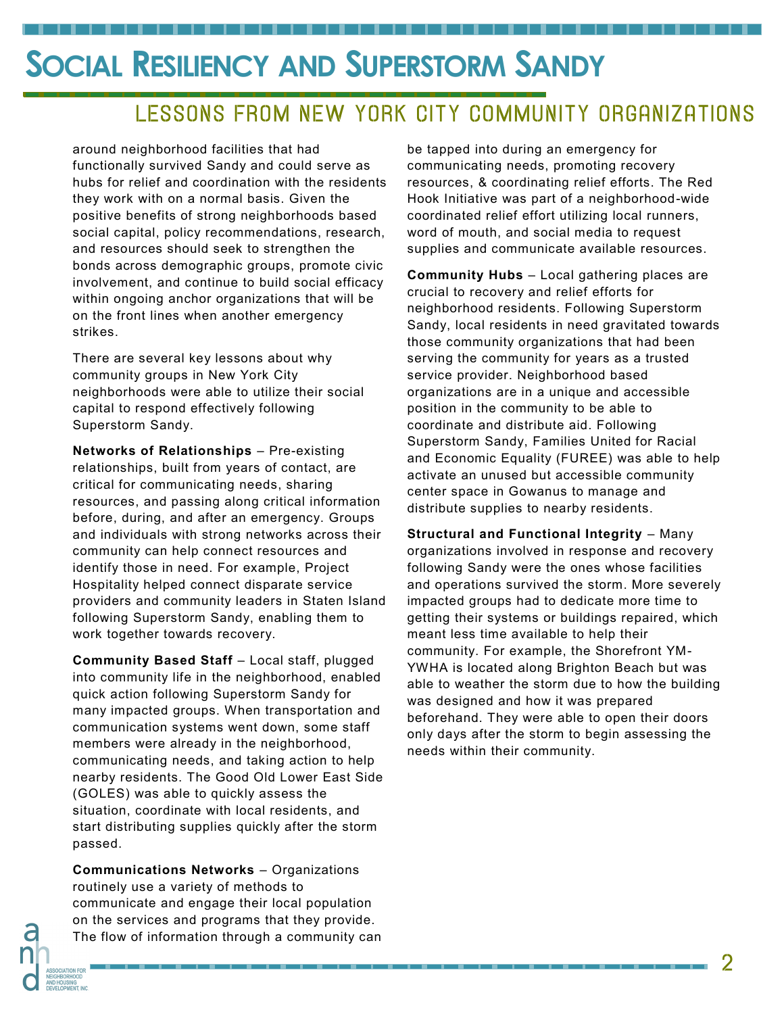## LESSONS FROM NEW YORK CITY COMMUNITY ORGANIZATIONS

around neighborhood facilities that had functionally survived Sandy and could serve as hubs for relief and coordination with the residents they work with on a normal basis. Given the positive benefits of strong neighborhoods based social capital, policy recommendations, research, and resources should seek to strengthen the bonds across demographic groups, promote civic involvement, and continue to build social efficacy within ongoing anchor organizations that will be on the front lines when another emergency strikes.

. . . . . . . . . . . . . .

There are several key lessons about why community groups in New York City neighborhoods were able to utilize their social capital to respond effectively following Superstorm Sandy.

**Networks of Relationships** – Pre-existing relationships, built from years of contact, are critical for communicating needs, sharing resources, and passing along critical information before, during, and after an emergency. Groups and individuals with strong networks across their community can help connect resources and identify those in need. For example, Project Hospitality helped connect disparate service providers and community leaders in Staten Island following Superstorm Sandy, enabling them to work together towards recovery.

**Community Based Staff - Local staff, plugged** into community life in the neighborhood, enabled quick action following Superstorm Sandy for many impacted groups. When transportation and communication systems went down, some staff members were already in the neighborhood, communicating needs, and taking action to help nearby residents. The Good Old Lower East Side (GOLES) was able to quickly assess the situation, coordinate with local residents, and start distributing supplies quickly after the storm passed.

**Communications Networks** – Organizations routinely use a variety of methods to communicate and engage their local population on the services and programs that they provide. The flow of information through a community can

be tapped into during an emergency for communicating needs, promoting recovery resources, & coordinating relief efforts. The Red Hook Initiative was part of a neighborhood-wide coordinated relief effort utilizing local runners, word of mouth, and social media to request supplies and communicate available resources.

**Community Hubs** – Local gathering places are crucial to recovery and relief efforts for neighborhood residents. Following Superstorm Sandy, local residents in need gravitated towards those community organizations that had been serving the community for years as a trusted service provider. Neighborhood based organizations are in a unique and accessible position in the community to be able to coordinate and distribute aid. Following Superstorm Sandy, Families United for Racial and Economic Equality (FUREE) was able to help activate an unused but accessible community center space in Gowanus to manage and distribute supplies to nearby residents.

**Structural and Functional Integrity** – Many organizations involved in response and recovery following Sandy were the ones whose facilities and operations survived the storm. More severely impacted groups had to dedicate more time to getting their systems or buildings repaired, which meant less time available to help their community. For example, the Shorefront YM-YWHA is located along Brighton Beach but was able to weather the storm due to how the building was designed and how it was prepared beforehand. They were able to open their doors only days after the storm to begin assessing the needs within their community.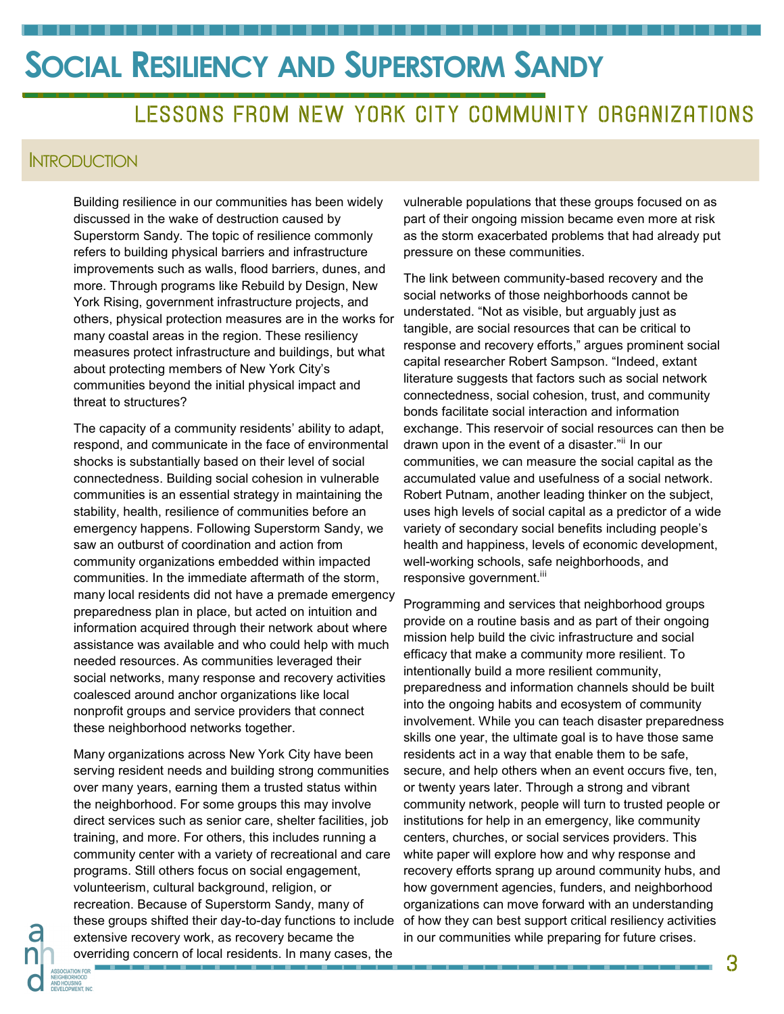### LESSONS FROM NEW YORK CITY COMMUNITY ORGANIZATIONS

#### **INTRODUCTION**

Building resilience in our communities has been widely discussed in the wake of destruction caused by Superstorm Sandy. The topic of resilience commonly refers to building physical barriers and infrastructure improvements such as walls, flood barriers, dunes, and more. Through programs like Rebuild by Design, New York Rising, government infrastructure projects, and others, physical protection measures are in the works for many coastal areas in the region. These resiliency measures protect infrastructure and buildings, but what about protecting members of New York City's communities beyond the initial physical impact and threat to structures?

The capacity of a community residents' ability to adapt, respond, and communicate in the face of environmental shocks is substantially based on their level of social connectedness. Building social cohesion in vulnerable communities is an essential strategy in maintaining the stability, health, resilience of communities before an emergency happens. Following Superstorm Sandy, we saw an outburst of coordination and action from community organizations embedded within impacted communities. In the immediate aftermath of the storm, many local residents did not have a premade emergency preparedness plan in place, but acted on intuition and information acquired through their network about where assistance was available and who could help with much needed resources. As communities leveraged their social networks, many response and recovery activities coalesced around anchor organizations like local nonprofit groups and service providers that connect these neighborhood networks together.

Many organizations across New York City have been serving resident needs and building strong communities over many years, earning them a trusted status within the neighborhood. For some groups this may involve direct services such as senior care, shelter facilities, job training, and more. For others, this includes running a community center with a variety of recreational and care programs. Still others focus on social engagement, volunteerism, cultural background, religion, or recreation. Because of Superstorm Sandy, many of these groups shifted their day-to-day functions to include extensive recovery work, as recovery became the overriding concern of local residents. In many cases, the

vulnerable populations that these groups focused on as part of their ongoing mission became even more at risk as the storm exacerbated problems that had already put pressure on these communities.

The link between community-based recovery and the social networks of those neighborhoods cannot be understated. "Not as visible, but arguably just as tangible, are social resources that can be critical to response and recovery efforts," argues prominent social capital researcher Robert Sampson. "Indeed, extant literature suggests that factors such as social network connectedness, social cohesion, trust, and community bonds facilitate social interaction and information exchange. This reservoir of social resources can then be drawn upon in the event of a disaster."<sup>ii</sup> In our communities, we can measure the social capital as the accumulated value and usefulness of a social network. Robert Putnam, another leading thinker on the subject, uses high levels of social capital as a predictor of a wide variety of secondary social benefits including people's health and happiness, levels of economic development, well-working schools, safe neighborhoods, and responsive government.<sup>iii</sup>

Programming and services that neighborhood groups provide on a routine basis and as part of their ongoing mission help build the civic infrastructure and social efficacy that make a community more resilient. To intentionally build a more resilient community, preparedness and information channels should be built into the ongoing habits and ecosystem of community involvement. While you can teach disaster preparedness skills one year, the ultimate goal is to have those same residents act in a way that enable them to be safe, secure, and help others when an event occurs five, ten, or twenty years later. Through a strong and vibrant community network, people will turn to trusted people or institutions for help in an emergency, like community centers, churches, or social services providers. This white paper will explore how and why response and recovery efforts sprang up around community hubs, and how government agencies, funders, and neighborhood organizations can move forward with an understanding of how they can best support critical resiliency activities in our communities while preparing for future crises.

3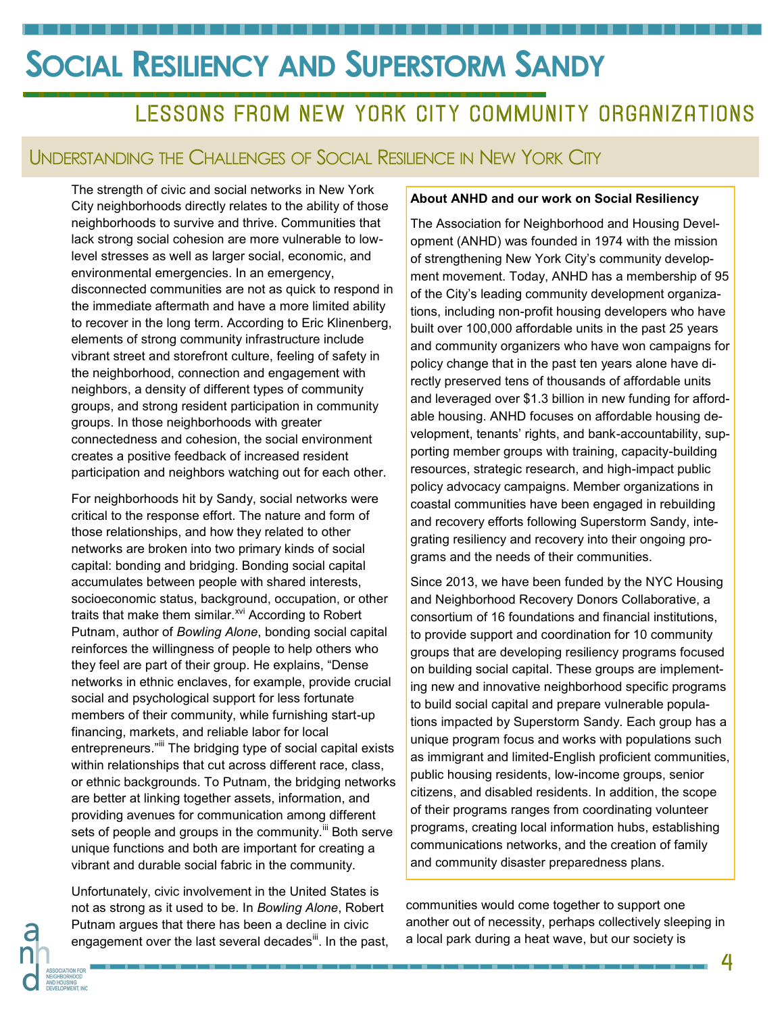### LESSONS FROM NEW YORK CITY COMMUNITY ORGANIZATIONS

#### UNDERSTANDING THE CHALLENGES OF SOCIAL RESILIENCE IN NEW YORK CITY

The strength of civic and social networks in New York City neighborhoods directly relates to the ability of those neighborhoods to survive and thrive. Communities that lack strong social cohesion are more vulnerable to lowlevel stresses as well as larger social, economic, and environmental emergencies. In an emergency, disconnected communities are not as quick to respond in the immediate aftermath and have a more limited ability to recover in the long term. According to Eric Klinenberg, elements of strong community infrastructure include vibrant street and storefront culture, feeling of safety in the neighborhood, connection and engagement with neighbors, a density of different types of community groups, and strong resident participation in community groups. In those neighborhoods with greater connectedness and cohesion, the social environment creates a positive feedback of increased resident participation and neighbors watching out for each other.

For neighborhoods hit by Sandy, social networks were critical to the response effort. The nature and form of those relationships, and how they related to other networks are broken into two primary kinds of social capital: bonding and bridging. Bonding social capital accumulates between people with shared interests, socioeconomic status, background, occupation, or other traits that make them similar.<sup>xvi</sup> According to Robert Putnam, author of *Bowling Alone*, bonding social capital reinforces the willingness of people to help others who they feel are part of their group. He explains, "Dense networks in ethnic enclaves, for example, provide crucial social and psychological support for less fortunate members of their community, while furnishing start-up financing, markets, and reliable labor for local entrepreneurs."<sup>iii</sup> The bridging type of social capital exists within relationships that cut across different race, class, or ethnic backgrounds. To Putnam, the bridging networks are better at linking together assets, information, and providing avenues for communication among different sets of people and groups in the community.<sup>III</sup> Both serve unique functions and both are important for creating a vibrant and durable social fabric in the community.

Unfortunately, civic involvement in the United States is not as strong as it used to be. In *Bowling Alone*, Robert Putnam argues that there has been a decline in civic engagement over the last several decades<sup>"</sup>. In the past,

#### **About ANHD and our work on Social Resiliency**

The Association for Neighborhood and Housing Development (ANHD) was founded in 1974 with the mission of strengthening New York City's community development movement. Today, ANHD has a membership of 95 of the City's leading community development organizations, including non-profit housing developers who have built over 100,000 affordable units in the past 25 years and community organizers who have won campaigns for policy change that in the past ten years alone have directly preserved tens of thousands of affordable units and leveraged over \$1.3 billion in new funding for affordable housing. ANHD focuses on affordable housing development, tenants' rights, and bank-accountability, supporting member groups with training, capacity-building resources, strategic research, and high-impact public policy advocacy campaigns. Member organizations in coastal communities have been engaged in rebuilding and recovery efforts following Superstorm Sandy, integrating resiliency and recovery into their ongoing programs and the needs of their communities.

Since 2013, we have been funded by the NYC Housing and Neighborhood Recovery Donors Collaborative, a consortium of 16 foundations and financial institutions, to provide support and coordination for 10 community groups that are developing resiliency programs focused on building social capital. These groups are implementing new and innovative neighborhood specific programs to build social capital and prepare vulnerable populations impacted by Superstorm Sandy. Each group has a unique program focus and works with populations such as immigrant and limited-English proficient communities, public housing residents, low-income groups, senior citizens, and disabled residents. In addition, the scope of their programs ranges from coordinating volunteer programs, creating local information hubs, establishing communications networks, and the creation of family and community disaster preparedness plans.

communities would come together to support one another out of necessity, perhaps collectively sleeping in a local park during a heat wave, but our society is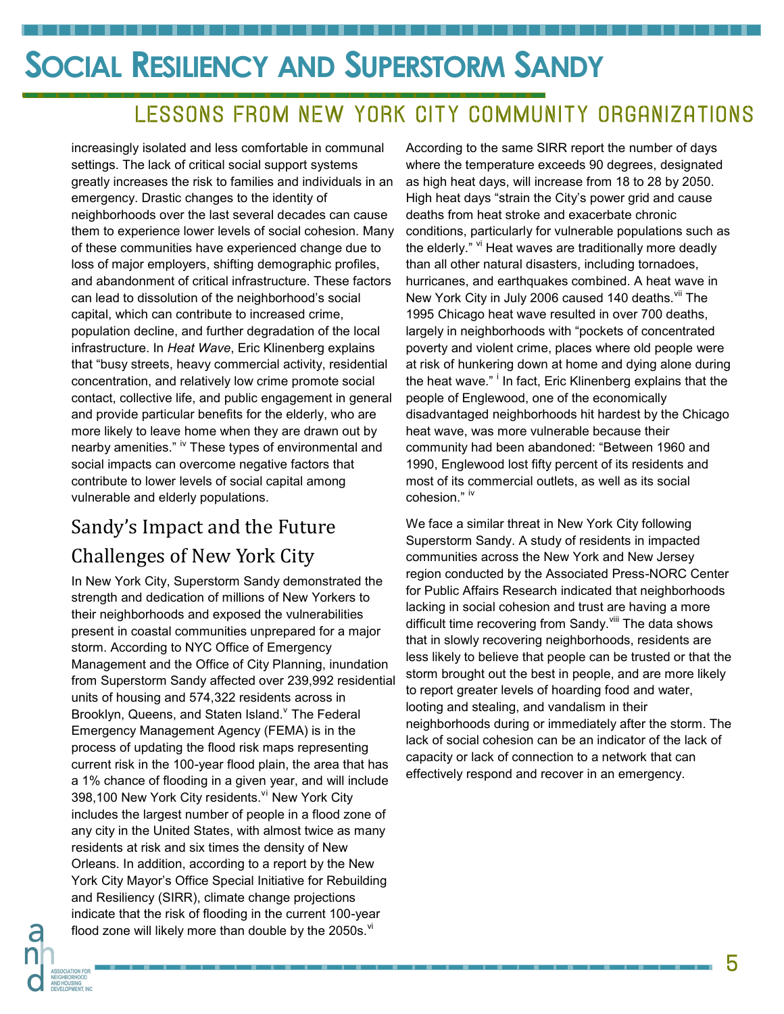## LESSONS FROM NEW YORK CITY COMMUNITY ORGANIZATIONS

increasingly isolated and less comfortable in communal settings. The lack of critical social support systems greatly increases the risk to families and individuals in an emergency. Drastic changes to the identity of neighborhoods over the last several decades can cause them to experience lower levels of social cohesion. Many of these communities have experienced change due to loss of major employers, shifting demographic profiles, and abandonment of critical infrastructure. These factors can lead to dissolution of the neighborhood's social capital, which can contribute to increased crime, population decline, and further degradation of the local infrastructure. In *Heat Wave*, Eric Klinenberg explains that "busy streets, heavy commercial activity, residential concentration, and relatively low crime promote social contact, collective life, and public engagement in general and provide particular benefits for the elderly, who are more likely to leave home when they are drawn out by nearby amenities." <sup>iv</sup> These types of environmental and social impacts can overcome negative factors that contribute to lower levels of social capital among vulnerable and elderly populations.

### Sandy's Impact and the Future Challenges of New York City

In New York City, Superstorm Sandy demonstrated the strength and dedication of millions of New Yorkers to their neighborhoods and exposed the vulnerabilities present in coastal communities unprepared for a major storm. According to NYC Office of Emergency Management and the Office of City Planning, inundation from Superstorm Sandy affected over 239,992 residential units of housing and 574,322 residents across in Brooklyn, Queens, and Staten Island. The Federal Emergency Management Agency (FEMA) is in the process of updating the flood risk maps representing current risk in the 100-year flood plain, the area that has a 1% chance of flooding in a given year, and will include 398,100 New York City residents.<sup>vi</sup> New York City includes the largest number of people in a flood zone of any city in the United States, with almost twice as many residents at risk and six times the density of New Orleans. In addition, according to a report by the New York City Mayor's Office Special Initiative for Rebuilding and Resiliency (SIRR), climate change projections indicate that the risk of flooding in the current 100-year flood zone will likely more than double by the 2050s. $\mathrm{N}$ 

According to the same SIRR report the number of days where the temperature exceeds 90 degrees, designated as high heat days, will increase from 18 to 28 by 2050. High heat days "strain the City's power grid and cause deaths from heat stroke and exacerbate chronic conditions, particularly for vulnerable populations such as the elderly." <sup>vi</sup> Heat waves are traditionally more deadly than all other natural disasters, including tornadoes, hurricanes, and earthquakes combined. A heat wave in New York City in July 2006 caused 140 deaths.<sup>vii</sup> The 1995 Chicago heat wave resulted in over 700 deaths, largely in neighborhoods with "pockets of concentrated poverty and violent crime, places where old people were at risk of hunkering down at home and dying alone during the heat wave." <sup>i</sup> In fact, Eric Klinenberg explains that the people of Englewood, one of the economically disadvantaged neighborhoods hit hardest by the Chicago heat wave, was more vulnerable because their community had been abandoned: "Between 1960 and 1990, Englewood lost fifty percent of its residents and most of its commercial outlets, as well as its social cohesion." iv

We face a similar threat in New York City following Superstorm Sandy. A study of residents in impacted communities across the New York and New Jersey region conducted by the Associated Press-NORC Center for Public Affairs Research indicated that neighborhoods lacking in social cohesion and trust are having a more difficult time recovering from Sandy.<sup>viii</sup> The data shows that in slowly recovering neighborhoods, residents are less likely to believe that people can be trusted or that the storm brought out the best in people, and are more likely to report greater levels of hoarding food and water, looting and stealing, and vandalism in their neighborhoods during or immediately after the storm. The lack of social cohesion can be an indicator of the lack of capacity or lack of connection to a network that can effectively respond and recover in an emergency.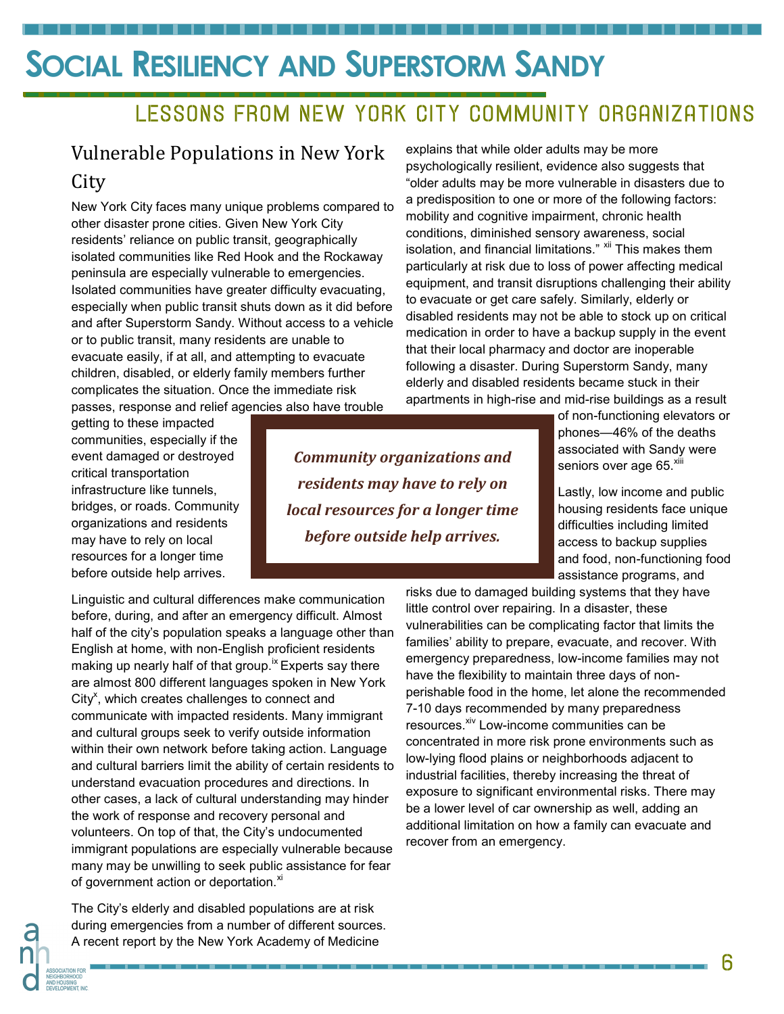### LESSONS FROM NEW YORK CITY COMMUNITY ORGANIZATIONS

### Vulnerable Populations in New York **City**

New York City faces many unique problems compared to other disaster prone cities. Given New York City residents' reliance on public transit, geographically isolated communities like Red Hook and the Rockaway peninsula are especially vulnerable to emergencies. Isolated communities have greater difficulty evacuating, especially when public transit shuts down as it did before and after Superstorm Sandy. Without access to a vehicle or to public transit, many residents are unable to evacuate easily, if at all, and attempting to evacuate children, disabled, or elderly family members further complicates the situation. Once the immediate risk passes, response and relief agencies also have trouble

getting to these impacted communities, especially if the event damaged or destroyed critical transportation infrastructure like tunnels, bridges, or roads. Community organizations and residents may have to rely on local resources for a longer time before outside help arrives.

Linguistic and cultural differences make communication before, during, and after an emergency difficult. Almost half of the city's population speaks a language other than English at home, with non-English proficient residents making up nearly half of that group.<sup>1x</sup> Experts say there are almost 800 different languages spoken in New York City<sup>x</sup>, which creates challenges to connect and communicate with impacted residents. Many immigrant and cultural groups seek to verify outside information within their own network before taking action. Language and cultural barriers limit the ability of certain residents to understand evacuation procedures and directions. In other cases, a lack of cultural understanding may hinder the work of response and recovery personal and volunteers. On top of that, the City's undocumented immigrant populations are especially vulnerable because many may be unwilling to seek public assistance for fear of government action or deportation.<sup>xi</sup>

The City's elderly and disabled populations are at risk during emergencies from a number of different sources. A recent report by the New York Academy of Medicine

explains that while older adults may be more psychologically resilient, evidence also suggests that "older adults may be more vulnerable in disasters due to a predisposition to one or more of the following factors: mobility and cognitive impairment, chronic health conditions, diminished sensory awareness, social isolation, and financial limitations." <sup>xii</sup> This makes them particularly at risk due to loss of power affecting medical equipment, and transit disruptions challenging their ability to evacuate or get care safely. Similarly, elderly or disabled residents may not be able to stock up on critical medication in order to have a backup supply in the event that their local pharmacy and doctor are inoperable following a disaster. During Superstorm Sandy, many elderly and disabled residents became stuck in their apartments in high-rise and mid-rise buildings as a result

> of non-functioning elevators or phones—46% of the deaths associated with Sandy were seniors over age 65.<sup>xiii</sup>

> Lastly, low income and public housing residents face unique difficulties including limited access to backup supplies and food, non-functioning food assistance programs, and

*Community organizations and residents may have to rely on local resources for a longer time before outside help arrives.*

> risks due to damaged building systems that they have little control over repairing. In a disaster, these vulnerabilities can be complicating factor that limits the families' ability to prepare, evacuate, and recover. With emergency preparedness, low-income families may not have the flexibility to maintain three days of nonperishable food in the home, let alone the recommended 7-10 days recommended by many preparedness resources.<sup>xiv</sup> Low-income communities can be concentrated in more risk prone environments such as low-lying flood plains or neighborhoods adjacent to industrial facilities, thereby increasing the threat of exposure to significant environmental risks. There may be a lower level of car ownership as well, adding an additional limitation on how a family can evacuate and recover from an emergency.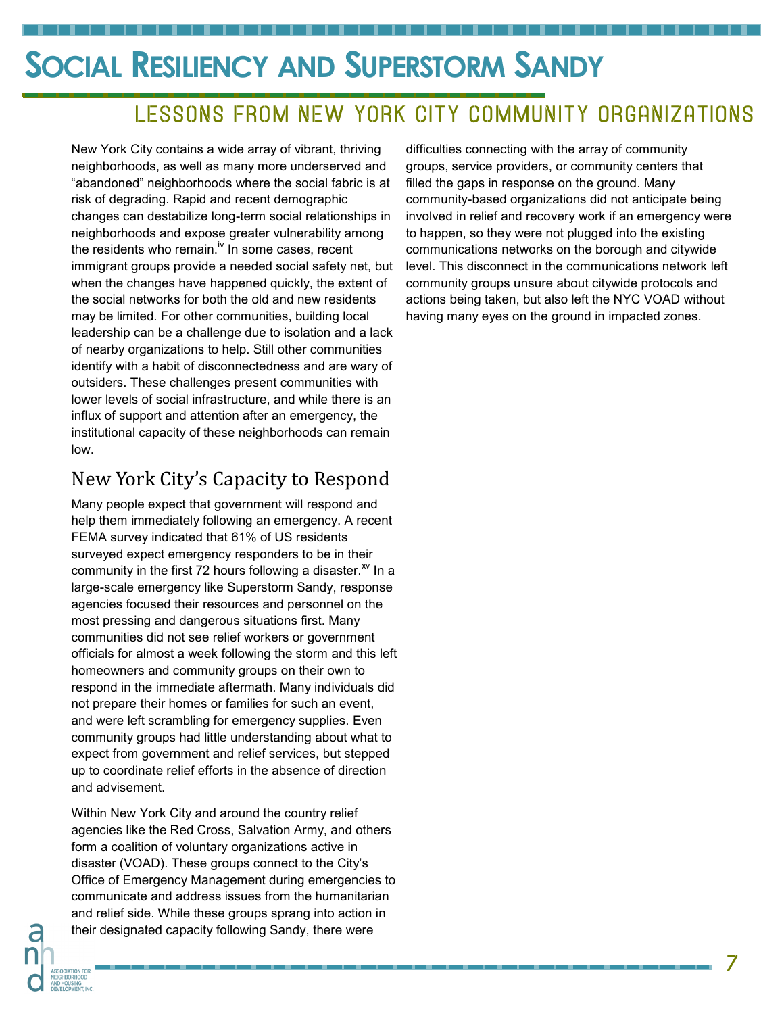## LESSONS FROM NEW YORK CITY COMMUNITY ORGANIZATIONS

New York City contains a wide array of vibrant, thriving neighborhoods, as well as many more underserved and "abandoned" neighborhoods where the social fabric is at risk of degrading. Rapid and recent demographic changes can destabilize long-term social relationships in neighborhoods and expose greater vulnerability among the residents who remain.<sup>iv</sup> In some cases, recent immigrant groups provide a needed social safety net, but when the changes have happened quickly, the extent of the social networks for both the old and new residents may be limited. For other communities, building local leadership can be a challenge due to isolation and a lack of nearby organizations to help. Still other communities identify with a habit of disconnectedness and are wary of outsiders. These challenges present communities with lower levels of social infrastructure, and while there is an influx of support and attention after an emergency, the institutional capacity of these neighborhoods can remain low.

#### New York City's Capacity to Respond

Many people expect that government will respond and help them immediately following an emergency. A recent FEMA survey indicated that 61% of US residents surveyed expect emergency responders to be in their community in the first 72 hours following a disaster. $x^2$  In a large-scale emergency like Superstorm Sandy, response agencies focused their resources and personnel on the most pressing and dangerous situations first. Many communities did not see relief workers or government officials for almost a week following the storm and this left homeowners and community groups on their own to respond in the immediate aftermath. Many individuals did not prepare their homes or families for such an event, and were left scrambling for emergency supplies. Even community groups had little understanding about what to expect from government and relief services, but stepped up to coordinate relief efforts in the absence of direction and advisement.

Within New York City and around the country relief agencies like the Red Cross, Salvation Army, and others form a coalition of voluntary organizations active in disaster (VOAD). These groups connect to the City's Office of Emergency Management during emergencies to communicate and address issues from the humanitarian and relief side. While these groups sprang into action in their designated capacity following Sandy, there were

difficulties connecting with the array of community groups, service providers, or community centers that filled the gaps in response on the ground. Many community-based organizations did not anticipate being involved in relief and recovery work if an emergency were to happen, so they were not plugged into the existing communications networks on the borough and citywide level. This disconnect in the communications network left community groups unsure about citywide protocols and actions being taken, but also left the NYC VOAD without having many eyes on the ground in impacted zones.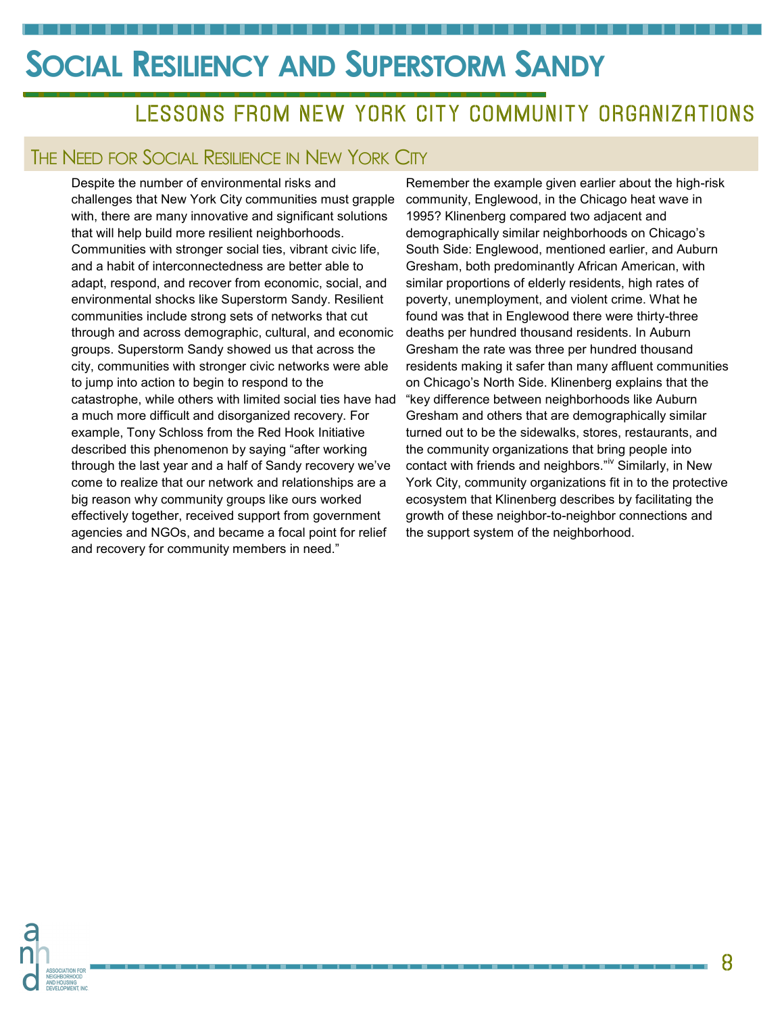## LESSONS FROM NEW YORK CITY COMMUNITY ORGANIZATIONS

#### THE NEED FOR SOCIAL RESILIENCE IN NEW YORK CITY

Despite the number of environmental risks and challenges that New York City communities must grapple with, there are many innovative and significant solutions that will help build more resilient neighborhoods. Communities with stronger social ties, vibrant civic life, and a habit of interconnectedness are better able to adapt, respond, and recover from economic, social, and environmental shocks like Superstorm Sandy. Resilient communities include strong sets of networks that cut through and across demographic, cultural, and economic groups. Superstorm Sandy showed us that across the city, communities with stronger civic networks were able to jump into action to begin to respond to the catastrophe, while others with limited social ties have had a much more difficult and disorganized recovery. For example, Tony Schloss from the Red Hook Initiative described this phenomenon by saying "after working through the last year and a half of Sandy recovery we've come to realize that our network and relationships are a big reason why community groups like ours worked effectively together, received support from government agencies and NGOs, and became a focal point for relief and recovery for community members in need."

Remember the example given earlier about the high-risk community, Englewood, in the Chicago heat wave in 1995? Klinenberg compared two adjacent and demographically similar neighborhoods on Chicago's South Side: Englewood, mentioned earlier, and Auburn Gresham, both predominantly African American, with similar proportions of elderly residents, high rates of poverty, unemployment, and violent crime. What he found was that in Englewood there were thirty-three deaths per hundred thousand residents. In Auburn Gresham the rate was three per hundred thousand residents making it safer than many affluent communities on Chicago's North Side. Klinenberg explains that the "key difference between neighborhoods like Auburn Gresham and others that are demographically similar turned out to be the sidewalks, stores, restaurants, and the community organizations that bring people into contact with friends and neighbors."<sup>iv</sup> Similarly, in New York City, community organizations fit in to the protective ecosystem that Klinenberg describes by facilitating the growth of these neighbor-to-neighbor connections and the support system of the neighborhood.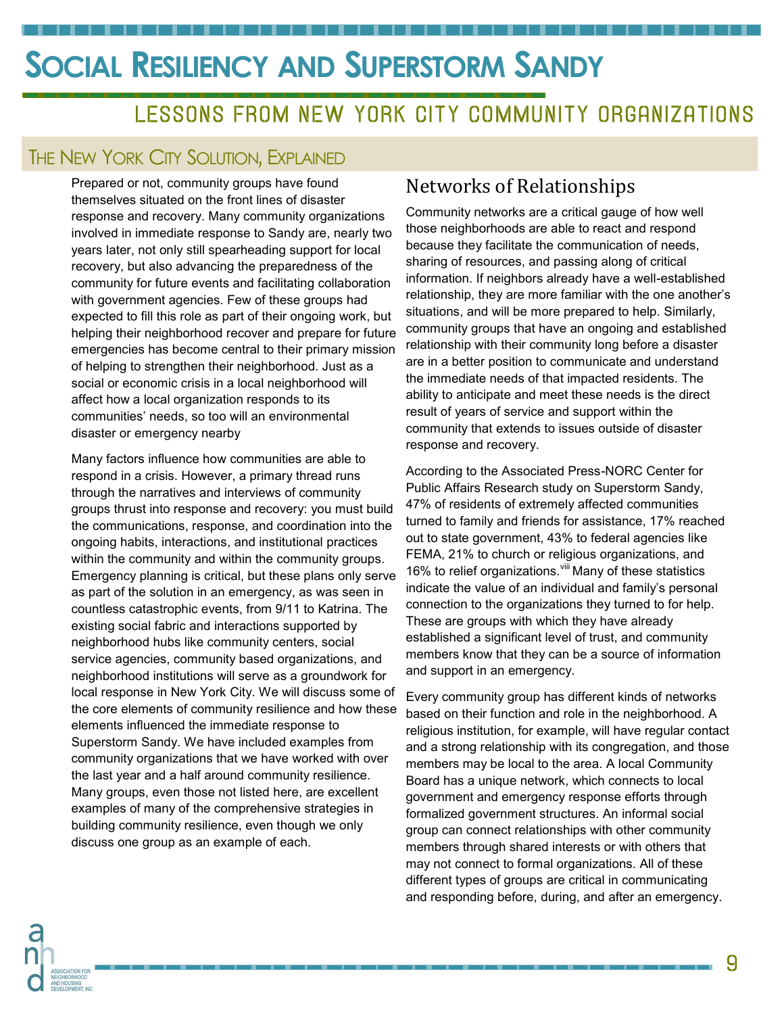### LESSONS FROM NEW YORK CITY COMMUNITY ORGANIZATIONS

#### THE NEW YORK CITY SOLUTION, EXPLAINED

Prepared or not, community groups have found themselves situated on the front lines of disaster response and recovery. Many community organizations involved in immediate response to Sandy are, nearly two years later, not only still spearheading support for local recovery, but also advancing the preparedness of the community for future events and facilitating collaboration with government agencies. Few of these groups had expected to fill this role as part of their ongoing work, but helping their neighborhood recover and prepare for future emergencies has become central to their primary mission of helping to strengthen their neighborhood. Just as a social or economic crisis in a local neighborhood will affect how a local organization responds to its communities' needs, so too will an environmental disaster or emergency nearby

Many factors influence how communities are able to respond in a crisis. However, a primary thread runs through the narratives and interviews of community groups thrust into response and recovery: you must build the communications, response, and coordination into the ongoing habits, interactions, and institutional practices within the community and within the community groups. Emergency planning is critical, but these plans only serve as part of the solution in an emergency, as was seen in countless catastrophic events, from 9/11 to Katrina. The existing social fabric and interactions supported by neighborhood hubs like community centers, social service agencies, community based organizations, and neighborhood institutions will serve as a groundwork for local response in New York City. We will discuss some of the core elements of community resilience and how these elements influenced the immediate response to Superstorm Sandy. We have included examples from community organizations that we have worked with over the last year and a half around community resilience. Many groups, even those not listed here, are excellent examples of many of the comprehensive strategies in building community resilience, even though we only discuss one group as an example of each.

#### Networks of Relationships

Community networks are a critical gauge of how well those neighborhoods are able to react and respond because they facilitate the communication of needs, sharing of resources, and passing along of critical information. If neighbors already have a well-established relationship, they are more familiar with the one another's situations, and will be more prepared to help. Similarly, community groups that have an ongoing and established relationship with their community long before a disaster are in a better position to communicate and understand the immediate needs of that impacted residents. The ability to anticipate and meet these needs is the direct result of years of service and support within the community that extends to issues outside of disaster response and recovery.

According to the Associated Press-NORC Center for Public Affairs Research study on Superstorm Sandy, 47% of residents of extremely affected communities turned to family and friends for assistance, 17% reached out to state government, 43% to federal agencies like FEMA, 21% to church or religious organizations, and 16% to relief organizations. Vill Many of these statistics indicate the value of an individual and family's personal connection to the organizations they turned to for help. These are groups with which they have already established a significant level of trust, and community members know that they can be a source of information and support in an emergency.

Every community group has different kinds of networks based on their function and role in the neighborhood. A religious institution, for example, will have regular contact and a strong relationship with its congregation, and those members may be local to the area. A local Community Board has a unique network, which connects to local government and emergency response efforts through formalized government structures. An informal social group can connect relationships with other community members through shared interests or with others that may not connect to formal organizations. All of these different types of groups are critical in communicating and responding before, during, and after an emergency.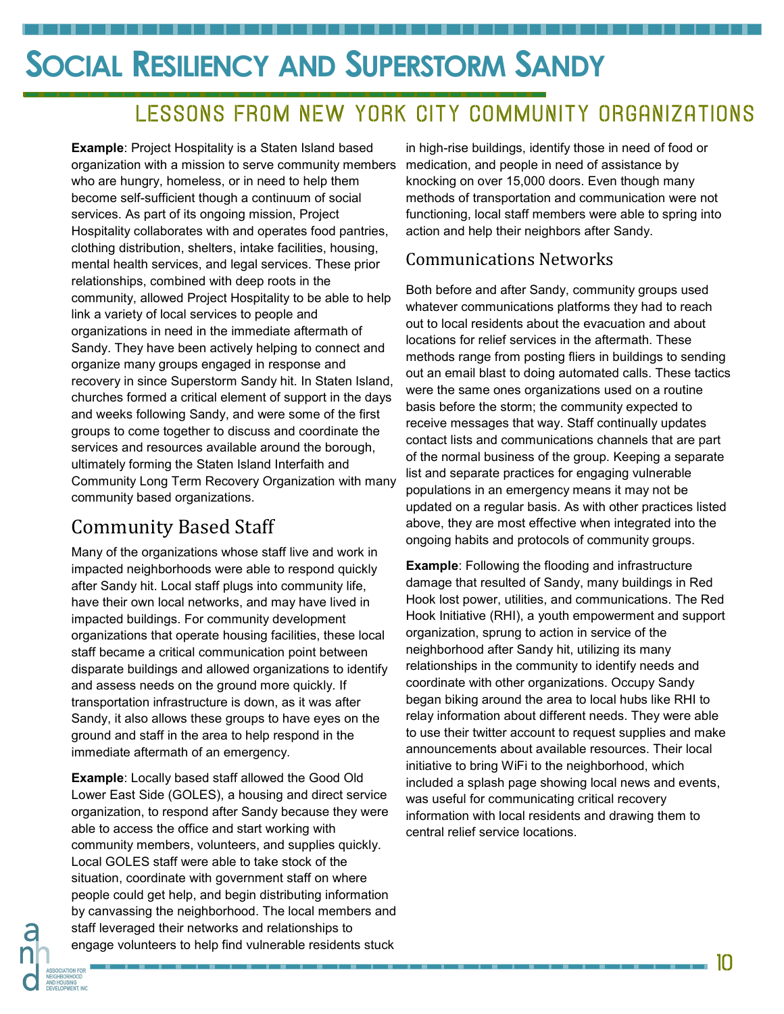## LESSONS FROM NEW YORK CITY COMMUNITY ORGANIZATIONS

**Example:** Project Hospitality is a Staten Island based organization with a mission to serve community members who are hungry, homeless, or in need to help them become self-sufficient though a continuum of social services. As part of its ongoing mission, Project Hospitality collaborates with and operates food pantries, clothing distribution, shelters, intake facilities, housing, mental health services, and legal services. These prior relationships, combined with deep roots in the community, allowed Project Hospitality to be able to help link a variety of local services to people and organizations in need in the immediate aftermath of Sandy. They have been actively helping to connect and organize many groups engaged in response and recovery in since Superstorm Sandy hit. In Staten Island, churches formed a critical element of support in the days and weeks following Sandy, and were some of the first groups to come together to discuss and coordinate the services and resources available around the borough, ultimately forming the Staten Island Interfaith and Community Long Term Recovery Organization with many community based organizations.

. . . . . . . . . . . . . .

### Community Based Staff

Many of the organizations whose staff live and work in impacted neighborhoods were able to respond quickly after Sandy hit. Local staff plugs into community life, have their own local networks, and may have lived in impacted buildings. For community development organizations that operate housing facilities, these local staff became a critical communication point between disparate buildings and allowed organizations to identify and assess needs on the ground more quickly. If transportation infrastructure is down, as it was after Sandy, it also allows these groups to have eyes on the ground and staff in the area to help respond in the immediate aftermath of an emergency.

**Example**: Locally based staff allowed the Good Old Lower East Side (GOLES), a housing and direct service organization, to respond after Sandy because they were able to access the office and start working with community members, volunteers, and supplies quickly. Local GOLES staff were able to take stock of the situation, coordinate with government staff on where people could get help, and begin distributing information by canvassing the neighborhood. The local members and staff leveraged their networks and relationships to engage volunteers to help find vulnerable residents stuck

in high-rise buildings, identify those in need of food or medication, and people in need of assistance by knocking on over 15,000 doors. Even though many methods of transportation and communication were not functioning, local staff members were able to spring into action and help their neighbors after Sandy.

#### Communications Networks

Both before and after Sandy, community groups used whatever communications platforms they had to reach out to local residents about the evacuation and about locations for relief services in the aftermath. These methods range from posting fliers in buildings to sending out an email blast to doing automated calls. These tactics were the same ones organizations used on a routine basis before the storm; the community expected to receive messages that way. Staff continually updates contact lists and communications channels that are part of the normal business of the group. Keeping a separate list and separate practices for engaging vulnerable populations in an emergency means it may not be updated on a regular basis. As with other practices listed above, they are most effective when integrated into the ongoing habits and protocols of community groups.

**Example**: Following the flooding and infrastructure damage that resulted of Sandy, many buildings in Red Hook lost power, utilities, and communications. The Red Hook Initiative (RHI), a youth empowerment and support organization, sprung to action in service of the neighborhood after Sandy hit, utilizing its many relationships in the community to identify needs and coordinate with other organizations. Occupy Sandy began biking around the area to local hubs like RHI to relay information about different needs. They were able to use their twitter account to request supplies and make announcements about available resources. Their local initiative to bring WiFi to the neighborhood, which included a splash page showing local news and events, was useful for communicating critical recovery information with local residents and drawing them to central relief service locations.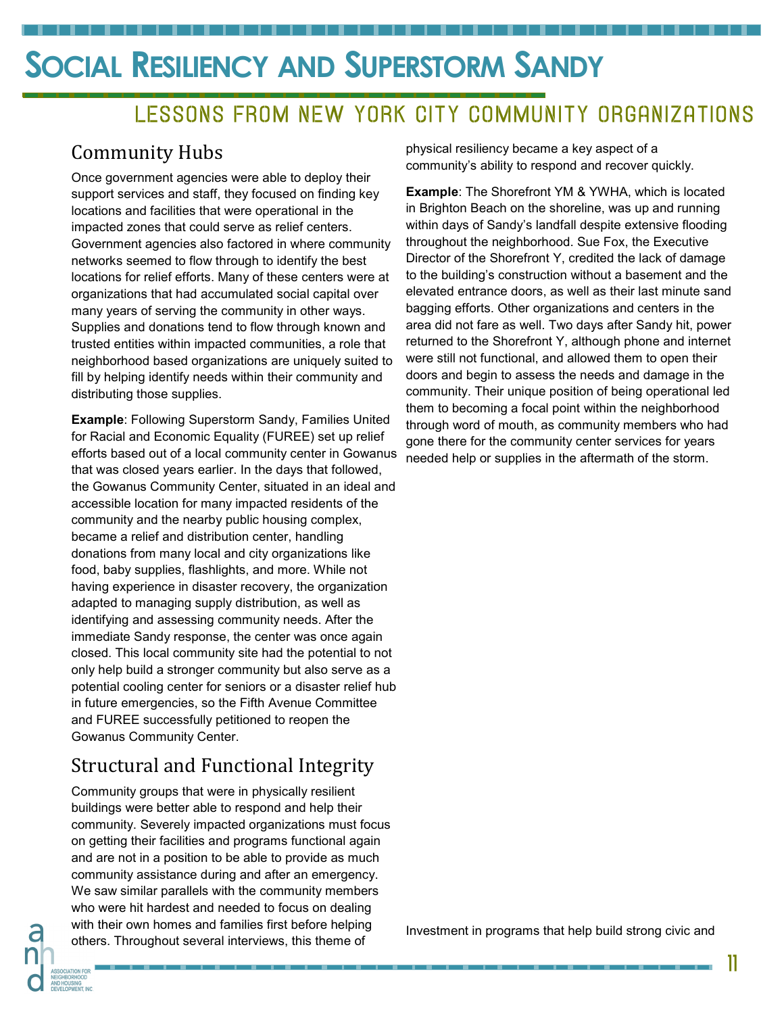## LESSONS FROM NEW YORK CITY COMMUNITY ORGANIZATIONS

### Community Hubs

Once government agencies were able to deploy their support services and staff, they focused on finding key locations and facilities that were operational in the impacted zones that could serve as relief centers. Government agencies also factored in where community networks seemed to flow through to identify the best locations for relief efforts. Many of these centers were at organizations that had accumulated social capital over many years of serving the community in other ways. Supplies and donations tend to flow through known and trusted entities within impacted communities, a role that neighborhood based organizations are uniquely suited to fill by helping identify needs within their community and distributing those supplies.

**Example**: Following Superstorm Sandy, Families United for Racial and Economic Equality (FUREE) set up relief efforts based out of a local community center in Gowanus that was closed years earlier. In the days that followed, the Gowanus Community Center, situated in an ideal and accessible location for many impacted residents of the community and the nearby public housing complex, became a relief and distribution center, handling donations from many local and city organizations like food, baby supplies, flashlights, and more. While not having experience in disaster recovery, the organization adapted to managing supply distribution, as well as identifying and assessing community needs. After the immediate Sandy response, the center was once again closed. This local community site had the potential to not only help build a stronger community but also serve as a potential cooling center for seniors or a disaster relief hub in future emergencies, so the Fifth Avenue Committee and FUREE successfully petitioned to reopen the Gowanus Community Center.

### Structural and Functional Integrity

Community groups that were in physically resilient buildings were better able to respond and help their community. Severely impacted organizations must focus on getting their facilities and programs functional again and are not in a position to be able to provide as much community assistance during and after an emergency. We saw similar parallels with the community members who were hit hardest and needed to focus on dealing with their own homes and families first before helping others. Throughout several interviews, this theme of

physical resiliency became a key aspect of a community's ability to respond and recover quickly.

**Example**: The Shorefront YM & YWHA, which is located in Brighton Beach on the shoreline, was up and running within days of Sandy's landfall despite extensive flooding throughout the neighborhood. Sue Fox, the Executive Director of the Shorefront Y, credited the lack of damage to the building's construction without a basement and the elevated entrance doors, as well as their last minute sand bagging efforts. Other organizations and centers in the area did not fare as well. Two days after Sandy hit, power returned to the Shorefront Y, although phone and internet were still not functional, and allowed them to open their doors and begin to assess the needs and damage in the community. Their unique position of being operational led them to becoming a focal point within the neighborhood through word of mouth, as community members who had gone there for the community center services for years needed help or supplies in the aftermath of the storm.

Investment in programs that help build strong civic and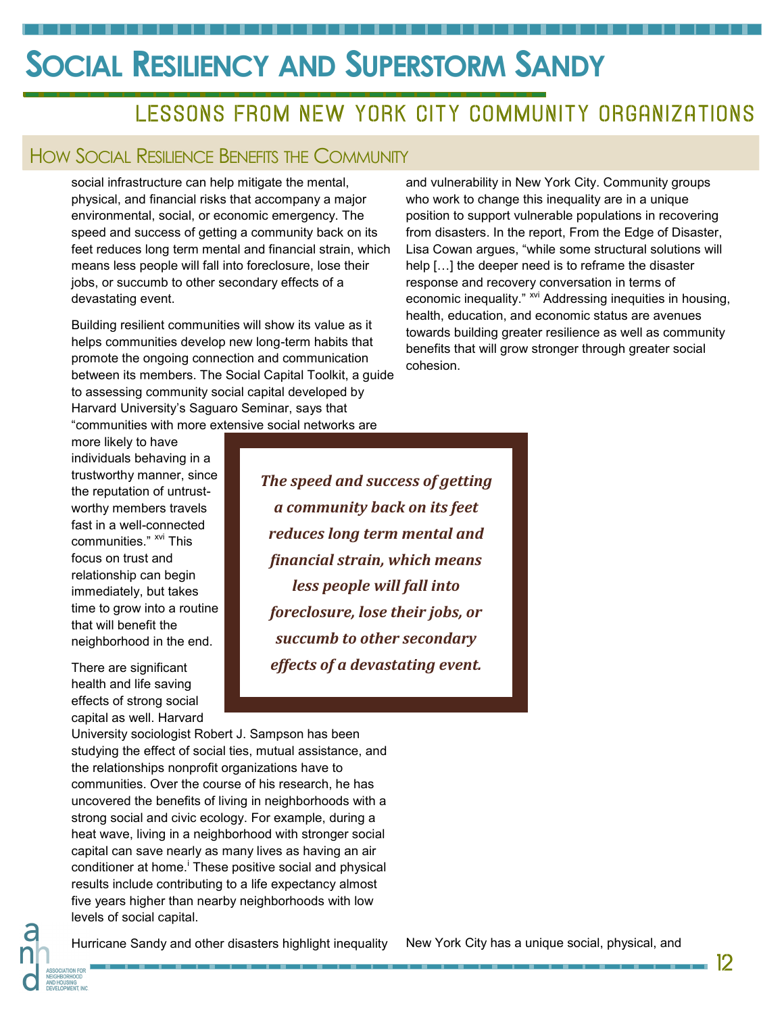### LESSONS FROM NEW YORK CITY COMMUNITY ORGANIZATIONS

#### HOW SOCIAL RESILIENCE BENEFITS THE COMMUNITY

social infrastructure can help mitigate the mental, physical, and financial risks that accompany a major environmental, social, or economic emergency. The speed and success of getting a community back on its feet reduces long term mental and financial strain, which means less people will fall into foreclosure, lose their jobs, or succumb to other secondary effects of a devastating event.

Building resilient communities will show its value as it helps communities develop new long-term habits that promote the ongoing connection and communication between its members. The Social Capital Toolkit, a guide to assessing community social capital developed by Harvard University's Saguaro Seminar, says that "communities with more extensive social networks are

and vulnerability in New York City. Community groups who work to change this inequality are in a unique position to support vulnerable populations in recovering from disasters. In the report, From the Edge of Disaster, Lisa Cowan argues, "while some structural solutions will help […] the deeper need is to reframe the disaster response and recovery conversation in terms of economic inequality." <sup>xvi</sup> Addressing inequities in housing, health, education, and economic status are avenues towards building greater resilience as well as community benefits that will grow stronger through greater social cohesion.

more likely to have individuals behaving in a trustworthy manner, since the reputation of untrustworthy members travels fast in a well-connected communities." <sup>xvi</sup> This focus on trust and relationship can begin immediately, but takes time to grow into a routine that will benefit the neighborhood in the end.

There are significant health and life saving effects of strong social capital as well. Harvard *The speed and success of getting a community back on its feet reduces long term mental and financial strain, which means less people will fall into foreclosure, lose their jobs, or succumb to other secondary effects of a devastating event.* 

University sociologist Robert J. Sampson has been studying the effect of social ties, mutual assistance, and the relationships nonprofit organizations have to communities. Over the course of his research, he has uncovered the benefits of living in neighborhoods with a strong social and civic ecology. For example, during a heat wave, living in a neighborhood with stronger social capital can save nearly as many lives as having an air conditioner at home.<sup>i</sup> These positive social and physical results include contributing to a life expectancy almost five years higher than nearby neighborhoods with low levels of social capital.

Hurricane Sandy and other disasters highlight inequality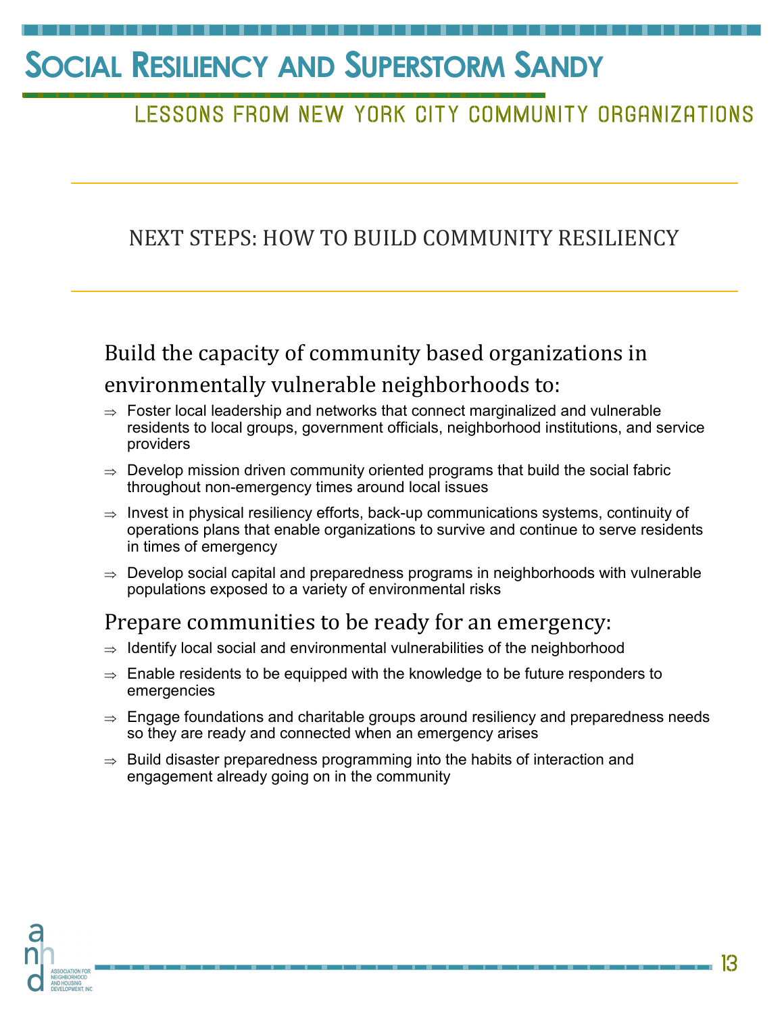## LESSONS FROM NEW YORK CITY COMMUNITY ORGANIZATIONS

### NEXT STEPS: HOW TO BUILD COMMUNITY RESILIENCY

## Build the capacity of community based organizations in environmentally vulnerable neighborhoods to:

- $\Rightarrow$  Foster local leadership and networks that connect marginalized and vulnerable residents to local groups, government officials, neighborhood institutions, and service providers
- $\Rightarrow$  Develop mission driven community oriented programs that build the social fabric throughout non-emergency times around local issues
- $\Rightarrow$  Invest in physical resiliency efforts, back-up communications systems, continuity of operations plans that enable organizations to survive and continue to serve residents in times of emergency
- $\Rightarrow$  Develop social capital and preparedness programs in neighborhoods with vulnerable populations exposed to a variety of environmental risks

### Prepare communities to be ready for an emergency:

- $\Rightarrow$  Identify local social and environmental vulnerabilities of the neighborhood
- $\Rightarrow$  Enable residents to be equipped with the knowledge to be future responders to emergencies
- $\Rightarrow$  Engage foundations and charitable groups around resiliency and preparedness needs so they are ready and connected when an emergency arises
- $\Rightarrow$  Build disaster preparedness programming into the habits of interaction and engagement already going on in the community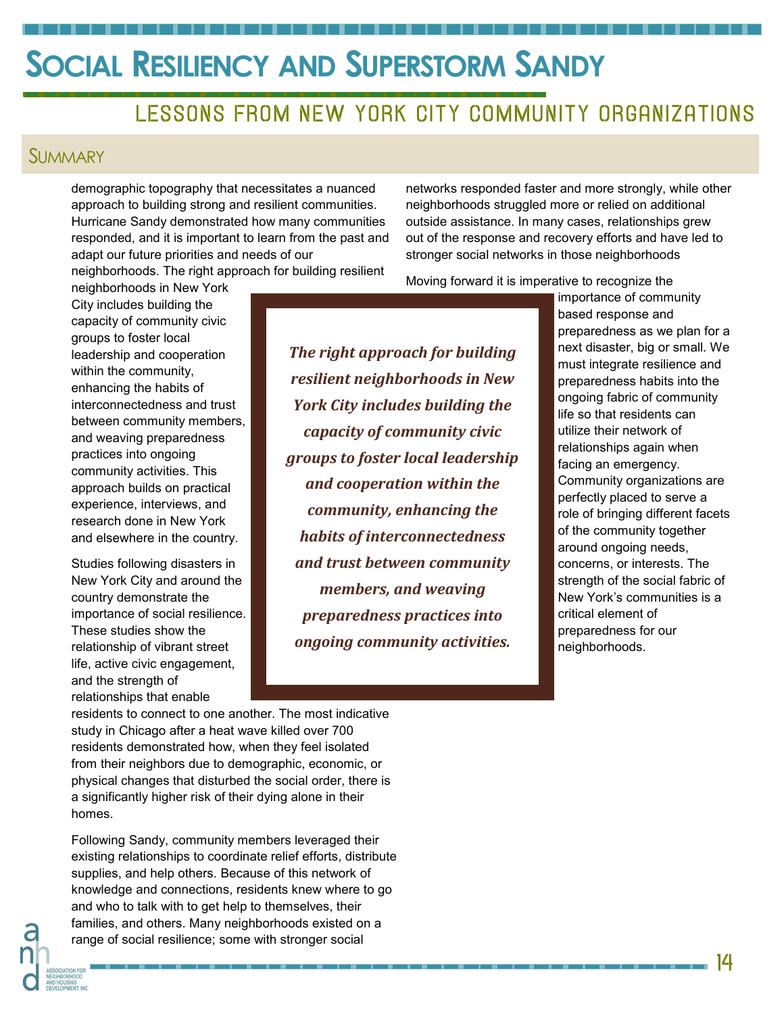### LESSONS FROM NEW YORK CITY COMMUNITY ORGANIZATIONS

#### **SUMMARY**

demographic topography that necessitates a nuanced approach to building strong and resilient communities. Hurricane Sandy demonstrated how many communities responded, and it is important to learn from the past and adapt our future priorities and needs of our

neighborhoods. The right approach for building resilient

neighborhoods in New York City includes building the capacity of community civic groups to foster local leadership and cooperation within the community, enhancing the habits of interconnectedness and trust between community members, and weaving preparedness practices into ongoing community activities. This approach builds on practical experience, interviews, and research done in New York and elsewhere in the country.

Studies following disasters in New York City and around the country demonstrate the importance of social resilience. These studies show the relationship of vibrant street life, active civic engagement, and the strength of relationships that enable

*The right approach for building resilient neighborhoods in New York City includes building the capacity of community civic groups to foster local leadership and cooperation within the community, enhancing the habits of interconnectedness and trust between community members, and weaving preparedness practices into ongoing community activities.*

networks responded faster and more strongly, while other neighborhoods struggled more or relied on additional outside assistance. In many cases, relationships grew out of the response and recovery efforts and have led to stronger social networks in those neighborhoods

Moving forward it is imperative to recognize the

importance of community based response and preparedness as we plan for a next disaster, big or small. We must integrate resilience and preparedness habits into the ongoing fabric of community life so that residents can utilize their network of relationships again when facing an emergency. Community organizations are perfectly placed to serve a role of bringing different facets of the community together around ongoing needs, concerns, or interests. The strength of the social fabric of New York's communities is a critical element of preparedness for our neighborhoods.

residents to connect to one another. The most indicative study in Chicago after a heat wave killed over 700 residents demonstrated how, when they feel isolated from their neighbors due to demographic, economic, or physical changes that disturbed the social order, there is a significantly higher risk of their dying alone in their homes.

Following Sandy, community members leveraged their existing relationships to coordinate relief efforts, distribute supplies, and help others. Because of this network of knowledge and connections, residents knew where to go and who to talk with to get help to themselves, their families, and others. Many neighborhoods existed on a range of social resilience; some with stronger social